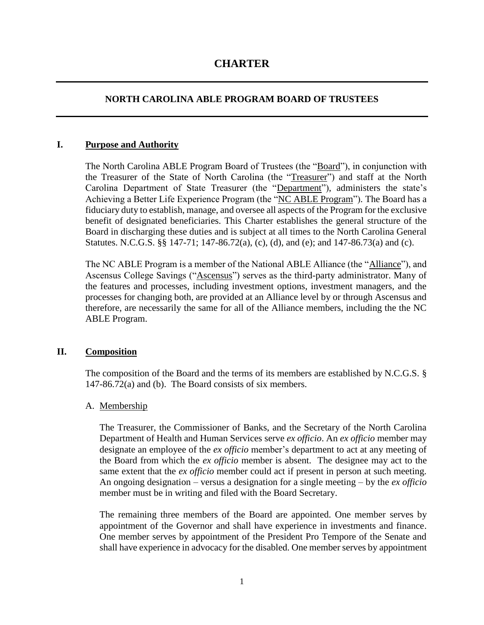# **CHARTER**

# **NORTH CAROLINA ABLE PROGRAM BOARD OF TRUSTEES**

#### **I. Purpose and Authority**

The North Carolina ABLE Program Board of Trustees (the "Board"), in conjunction with the Treasurer of the State of North Carolina (the "Treasurer") and staff at the North Carolina Department of State Treasurer (the "Department"), administers the state's Achieving a Better Life Experience Program (the "NC ABLE Program"). The Board has a fiduciary duty to establish, manage, and oversee all aspects of the Program for the exclusive benefit of designated beneficiaries. This Charter establishes the general structure of the Board in discharging these duties and is subject at all times to the North Carolina General Statutes. N.C.G.S. §§ 147-71; 147-86.72(a), (c), (d), and (e); and 147-86.73(a) and (c).

The NC ABLE Program is a member of the National ABLE Alliance (the "Alliance"), and Ascensus College Savings ("Ascensus") serves as the third-party administrator. Many of the features and processes, including investment options, investment managers, and the processes for changing both, are provided at an Alliance level by or through Ascensus and therefore, are necessarily the same for all of the Alliance members, including the the NC ABLE Program.

# **II. Composition**

The composition of the Board and the terms of its members are established by N.C.G.S. § 147-86.72(a) and (b). The Board consists of six members.

# A. Membership

The Treasurer, the Commissioner of Banks, and the Secretary of the North Carolina Department of Health and Human Services serve *ex officio*. An *ex officio* member may designate an employee of the *ex officio* member's department to act at any meeting of the Board from which the *ex officio* member is absent. The designee may act to the same extent that the *ex officio* member could act if present in person at such meeting. An ongoing designation – versus a designation for a single meeting – by the *ex officio* member must be in writing and filed with the Board Secretary.

The remaining three members of the Board are appointed. One member serves by appointment of the Governor and shall have experience in investments and finance. One member serves by appointment of the President Pro Tempore of the Senate and shall have experience in advocacy for the disabled. One member serves by appointment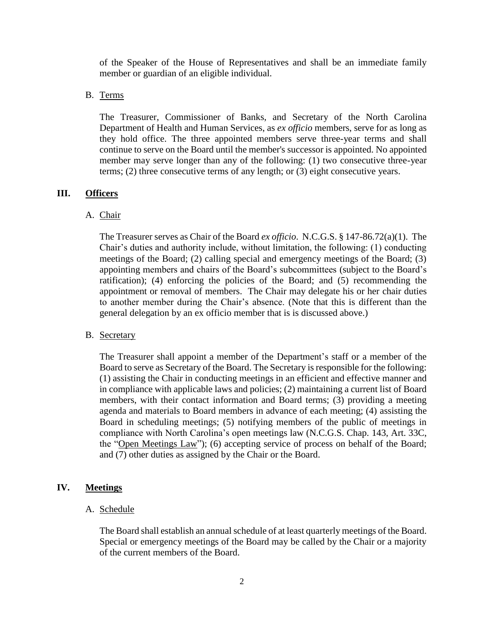of the Speaker of the House of Representatives and shall be an immediate family member or guardian of an eligible individual.

#### B. Terms

The Treasurer, Commissioner of Banks, and Secretary of the North Carolina Department of Health and Human Services, as *ex officio* members, serve for as long as they hold office. The three appointed members serve three-year terms and shall continue to serve on the Board until the member's successor is appointed. No appointed member may serve longer than any of the following: (1) two consecutive three-year terms; (2) three consecutive terms of any length; or (3) eight consecutive years.

#### **III. Officers**

#### A. Chair

The Treasurer serves as Chair of the Board *ex officio*. N.C.G.S. § 147-86.72(a)(1). The Chair's duties and authority include, without limitation, the following: (1) conducting meetings of the Board; (2) calling special and emergency meetings of the Board; (3) appointing members and chairs of the Board's subcommittees (subject to the Board's ratification); (4) enforcing the policies of the Board; and (5) recommending the appointment or removal of members. The Chair may delegate his or her chair duties to another member during the Chair's absence. (Note that this is different than the general delegation by an ex officio member that is is discussed above.)

#### B. Secretary

The Treasurer shall appoint a member of the Department's staff or a member of the Board to serve as Secretary of the Board. The Secretary is responsible for the following: (1) assisting the Chair in conducting meetings in an efficient and effective manner and in compliance with applicable laws and policies; (2) maintaining a current list of Board members, with their contact information and Board terms; (3) providing a meeting agenda and materials to Board members in advance of each meeting; (4) assisting the Board in scheduling meetings; (5) notifying members of the public of meetings in compliance with North Carolina's open meetings law (N.C.G.S. Chap. 143, Art. 33C, the "Open Meetings Law"); (6) accepting service of process on behalf of the Board; and (7) other duties as assigned by the Chair or the Board.

#### **IV. Meetings**

#### A. Schedule

The Board shall establish an annual schedule of at least quarterly meetings of the Board. Special or emergency meetings of the Board may be called by the Chair or a majority of the current members of the Board.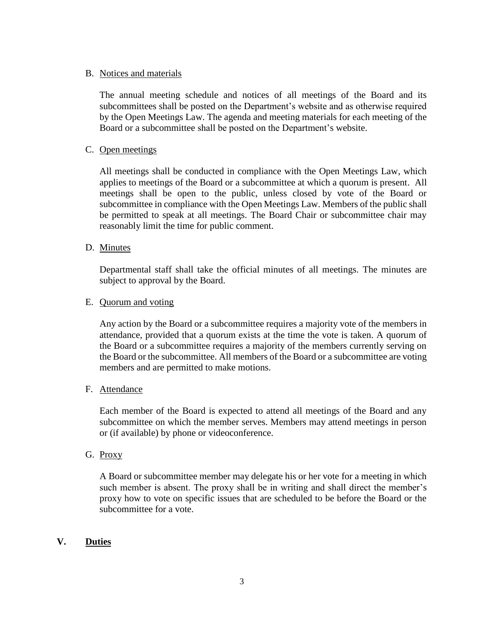# B. Notices and materials

The annual meeting schedule and notices of all meetings of the Board and its subcommittees shall be posted on the Department's website and as otherwise required by the Open Meetings Law. The agenda and meeting materials for each meeting of the Board or a subcommittee shall be posted on the Department's website.

# C. Open meetings

All meetings shall be conducted in compliance with the Open Meetings Law, which applies to meetings of the Board or a subcommittee at which a quorum is present. All meetings shall be open to the public, unless closed by vote of the Board or subcommittee in compliance with the Open Meetings Law. Members of the public shall be permitted to speak at all meetings. The Board Chair or subcommittee chair may reasonably limit the time for public comment.

# D. Minutes

Departmental staff shall take the official minutes of all meetings. The minutes are subject to approval by the Board.

# E. Quorum and voting

Any action by the Board or a subcommittee requires a majority vote of the members in attendance, provided that a quorum exists at the time the vote is taken. A quorum of the Board or a subcommittee requires a majority of the members currently serving on the Board or the subcommittee. All members of the Board or a subcommittee are voting members and are permitted to make motions.

# F. Attendance

Each member of the Board is expected to attend all meetings of the Board and any subcommittee on which the member serves. Members may attend meetings in person or (if available) by phone or videoconference.

# G. Proxy

A Board or subcommittee member may delegate his or her vote for a meeting in which such member is absent. The proxy shall be in writing and shall direct the member's proxy how to vote on specific issues that are scheduled to be before the Board or the subcommittee for a vote.

# **V. Duties**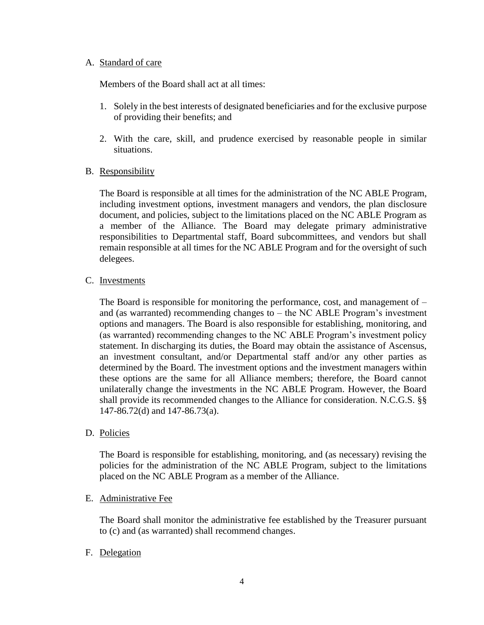# A. Standard of care

Members of the Board shall act at all times:

- 1. Solely in the best interests of designated beneficiaries and for the exclusive purpose of providing their benefits; and
- 2. With the care, skill, and prudence exercised by reasonable people in similar situations.
- B. Responsibility

The Board is responsible at all times for the administration of the NC ABLE Program, including investment options, investment managers and vendors, the plan disclosure document, and policies, subject to the limitations placed on the NC ABLE Program as a member of the Alliance. The Board may delegate primary administrative responsibilities to Departmental staff, Board subcommittees, and vendors but shall remain responsible at all times for the NC ABLE Program and for the oversight of such delegees.

C. Investments

The Board is responsible for monitoring the performance, cost, and management of  $$ and (as warranted) recommending changes to – the NC ABLE Program's investment options and managers. The Board is also responsible for establishing, monitoring, and (as warranted) recommending changes to the NC ABLE Program's investment policy statement. In discharging its duties, the Board may obtain the assistance of Ascensus, an investment consultant, and/or Departmental staff and/or any other parties as determined by the Board. The investment options and the investment managers within these options are the same for all Alliance members; therefore, the Board cannot unilaterally change the investments in the NC ABLE Program. However, the Board shall provide its recommended changes to the Alliance for consideration. N.C.G.S. §§ 147-86.72(d) and 147-86.73(a).

D. Policies

The Board is responsible for establishing, monitoring, and (as necessary) revising the policies for the administration of the NC ABLE Program, subject to the limitations placed on the NC ABLE Program as a member of the Alliance.

# E. Administrative Fee

The Board shall monitor the administrative fee established by the Treasurer pursuant to (c) and (as warranted) shall recommend changes.

# F. Delegation